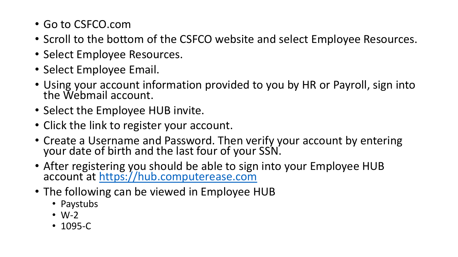- Go to CSFCO.com
- Scroll to the bottom of the CSFCO website and select Employee Resources.
- Select Employee Resources.
- Select Employee Email.
- Using your account information provided to you by HR or Payroll, sign into the Webmail account.
- Select the Employee HUB invite.
- Click the link to register your account.
- Create a Username and Password. Then verify your account by entering your date of birth and the last four of your SSN.
- After registering you should be able to sign into your Employee HUB account at [https://hub.computerease.com](https://hub.computerease.com/)
- The following can be viewed in Employee HUB
	- Paystubs
	- $\bullet$  W-2
	- 1095-C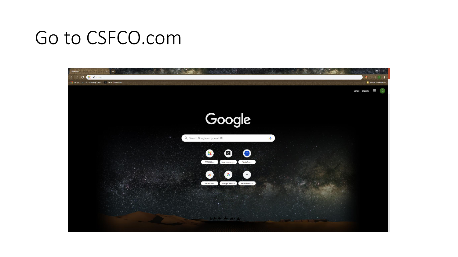## Go to CSFCO.com

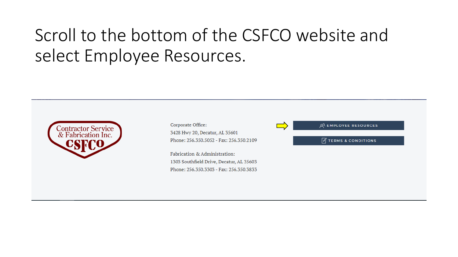### Scroll to the bottom of the CSFCO website and select Employee Resources.



Corporate Office: 3428 Hwy 20, Decatur, AL 35601 Phone: 256,350,5052 - Fax: 256,350,2109

Fabrication & Administration: 1303 Southfield Drive, Decatur, AL 35603 Phone: 256.350.3303 - Fax: 256.350.3833 **QR EMPLOYEE RESOURCES** 

 $\mathbb{Z}$  TERMS & CONDITIONS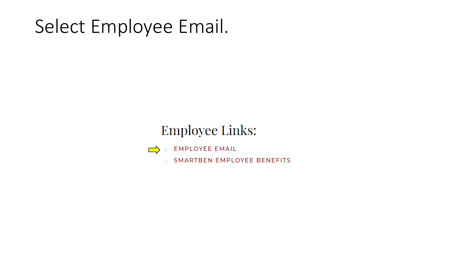# Select Employee Email.

#### **Employee Links:**



- **EMPLOYEE EMAIL**
- O SMARTBEN EMPLOYEE BENEFITS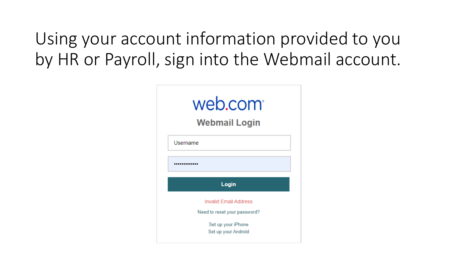Using your account information provided to you by HR or Payroll, sign into the Webmail account.

| web.com <sup>®</sup><br><b>Webmail Login</b>                 |
|--------------------------------------------------------------|
| Username                                                     |
|                                                              |
| Login                                                        |
| <b>Invalid Email Address</b><br>Need to reset your password? |
| Set up your iPhone                                           |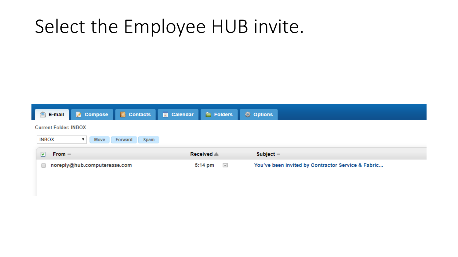## Select the Employee HUB invite.

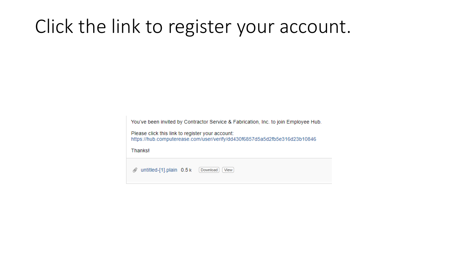# Click the link to register your account.

You've been invited by Contractor Service & Fabrication, Inc. to join Employee Hub.

Please click this link to register your account: https://hub.computerease.com/user/verify/dd430f6857d5a5d2fb5e316d23b10846

Thanks!

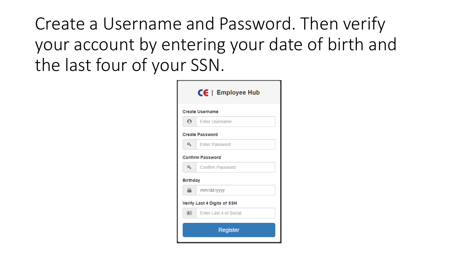Create a Username and Password. Then verify your account by entering your date of birth and the last four of your SSN.

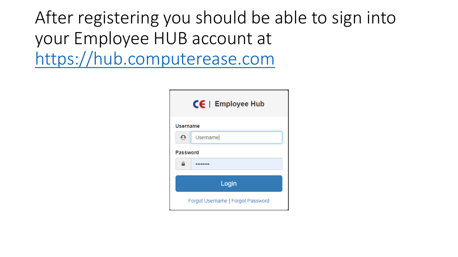After registering you should be able to sign into your Employee HUB account at [https://hub.computerease.com](https://hub.computerease.com/)

| $CE$   Employee Hub   |                                   |  |  |
|-----------------------|-----------------------------------|--|--|
|                       | <b>Username</b>                   |  |  |
| $\boldsymbol{\Theta}$ | Username                          |  |  |
|                       | <b>Password</b>                   |  |  |
|                       |                                   |  |  |
|                       | Login                             |  |  |
|                       | Forgot Username   Forgot Password |  |  |